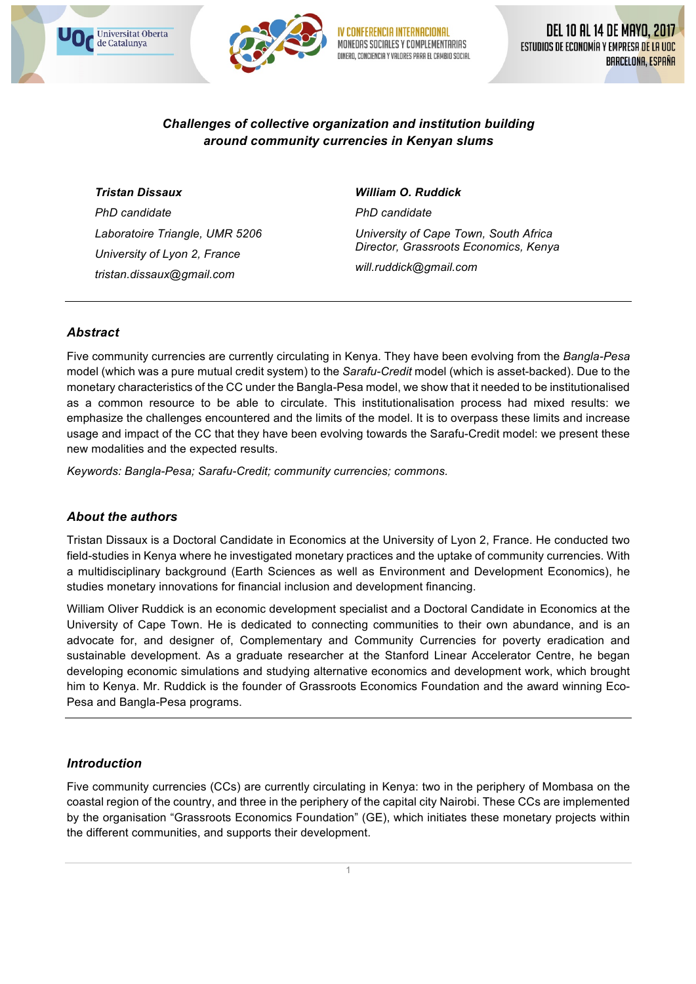

MONFOAS SOCIALES Y COMPLEMENTARIAS VALORES PARA EL CAMBIO SOCIAL

## *Challenges of collective organization and institution building around community currencies in Kenyan slums*

#### *Tristan Dissaux*

Universitat Oberta de Catalunya

*PhD candidate Laboratoire Triangle, UMR 5206 University of Lyon 2, France tristan.dissaux@gmail.com*

#### *William O. Ruddick*

*PhD candidate University of Cape Town, South Africa Director, Grassroots Economics, Kenya will.ruddick@gmail.com*

## *Abstract*

Five community currencies are currently circulating in Kenya. They have been evolving from the *Bangla-Pesa* model (which was a pure mutual credit system) to the *Sarafu-Credit* model (which is asset-backed). Due to the monetary characteristics of the CC under the Bangla-Pesa model, we show that it needed to be institutionalised as a common resource to be able to circulate. This institutionalisation process had mixed results: we emphasize the challenges encountered and the limits of the model. It is to overpass these limits and increase usage and impact of the CC that they have been evolving towards the Sarafu-Credit model: we present these new modalities and the expected results.

*Keywords: Bangla-Pesa; Sarafu-Credit; community currencies; commons.*

## *About the authors*

Tristan Dissaux is a Doctoral Candidate in Economics at the University of Lyon 2, France. He conducted two field-studies in Kenya where he investigated monetary practices and the uptake of community currencies. With a multidisciplinary background (Earth Sciences as well as Environment and Development Economics), he studies monetary innovations for financial inclusion and development financing.

William Oliver Ruddick is an economic development specialist and a Doctoral Candidate in Economics at the University of Cape Town. He is dedicated to connecting communities to their own abundance, and is an advocate for, and designer of, Complementary and Community Currencies for poverty eradication and sustainable development. As a graduate researcher at the Stanford Linear Accelerator Centre, he began developing economic simulations and studying alternative economics and development work, which brought him to Kenya. Mr. Ruddick is the founder of Grassroots Economics Foundation and the award winning Eco-Pesa and Bangla-Pesa programs.

## *Introduction*

Five community currencies (CCs) are currently circulating in Kenya: two in the periphery of Mombasa on the coastal region of the country, and three in the periphery of the capital city Nairobi. These CCs are implemented by the organisation "Grassroots Economics Foundation" (GE), which initiates these monetary projects within the different communities, and supports their development.

1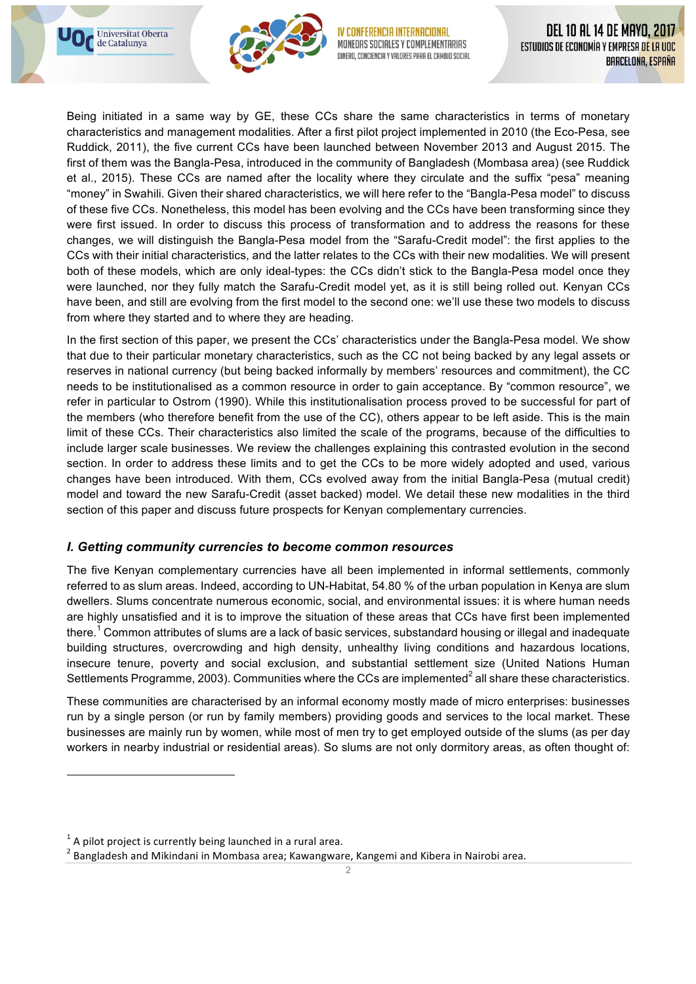



MONEDAS SOCIALES Y COMPLEMENTARIAS VALORES PARA EL CAMBIO SOCIAL

Being initiated in a same way by GE, these CCs share the same characteristics in terms of monetary characteristics and management modalities. After a first pilot project implemented in 2010 (the Eco-Pesa, see Ruddick, 2011), the five current CCs have been launched between November 2013 and August 2015. The first of them was the Bangla-Pesa, introduced in the community of Bangladesh (Mombasa area) (see Ruddick et al., 2015). These CCs are named after the locality where they circulate and the suffix "pesa" meaning "money" in Swahili. Given their shared characteristics, we will here refer to the "Bangla-Pesa model" to discuss of these five CCs. Nonetheless, this model has been evolving and the CCs have been transforming since they were first issued. In order to discuss this process of transformation and to address the reasons for these changes, we will distinguish the Bangla-Pesa model from the "Sarafu-Credit model": the first applies to the CCs with their initial characteristics, and the latter relates to the CCs with their new modalities. We will present both of these models, which are only ideal-types: the CCs didn't stick to the Bangla-Pesa model once they were launched, nor they fully match the Sarafu-Credit model yet, as it is still being rolled out. Kenyan CCs have been, and still are evolving from the first model to the second one: we'll use these two models to discuss from where they started and to where they are heading.

In the first section of this paper, we present the CCs' characteristics under the Bangla-Pesa model. We show that due to their particular monetary characteristics, such as the CC not being backed by any legal assets or reserves in national currency (but being backed informally by members' resources and commitment), the CC needs to be institutionalised as a common resource in order to gain acceptance. By "common resource", we refer in particular to Ostrom (1990). While this institutionalisation process proved to be successful for part of the members (who therefore benefit from the use of the CC), others appear to be left aside. This is the main limit of these CCs. Their characteristics also limited the scale of the programs, because of the difficulties to include larger scale businesses. We review the challenges explaining this contrasted evolution in the second section. In order to address these limits and to get the CCs to be more widely adopted and used, various changes have been introduced. With them, CCs evolved away from the initial Bangla-Pesa (mutual credit) model and toward the new Sarafu-Credit (asset backed) model. We detail these new modalities in the third section of this paper and discuss future prospects for Kenyan complementary currencies.

## *I. Getting community currencies to become common resources*

The five Kenyan complementary currencies have all been implemented in informal settlements, commonly referred to as slum areas. Indeed, according to UN-Habitat, 54.80 % of the urban population in Kenya are slum dwellers. Slums concentrate numerous economic, social, and environmental issues: it is where human needs are highly unsatisfied and it is to improve the situation of these areas that CCs have first been implemented there.<sup>1</sup> Common attributes of slums are a lack of basic services, substandard housing or illegal and inadequate building structures, overcrowding and high density, unhealthy living conditions and hazardous locations, insecure tenure, poverty and social exclusion, and substantial settlement size (United Nations Human Settlements Programme, 2003). Communities where the CCs are implemented $^2$  all share these characteristics.

These communities are characterised by an informal economy mostly made of micro enterprises: businesses run by a single person (or run by family members) providing goods and services to the local market. These businesses are mainly run by women, while most of men try to get employed outside of the slums (as per day workers in nearby industrial or residential areas). So slums are not only dormitory areas, as often thought of:

<u> 1989 - Johann Barn, mars eta bainar eta industrial eta baina eta baina eta baina eta baina eta baina eta bain</u>

 $1$  A pilot project is currently being launched in a rural area.

 $2$  Bangladesh and Mikindani in Mombasa area; Kawangware, Kangemi and Kibera in Nairobi area.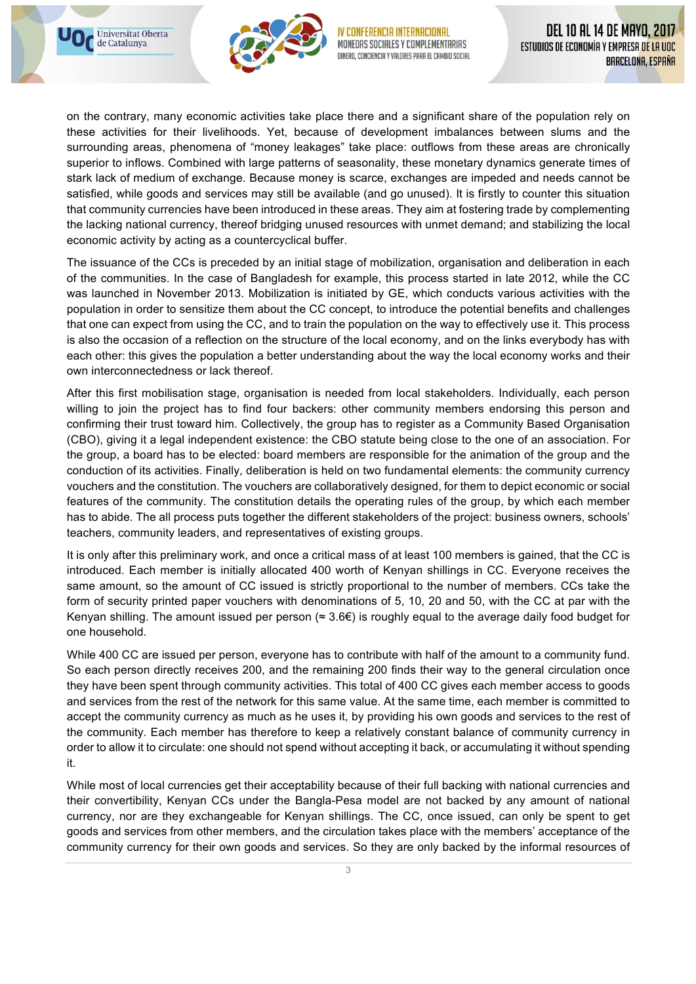



MONEDAS SOCIALES Y COMPLEMENTARIAS CONCIENCIA Y VALORES PARA EL CAMBIO SOCIAL

on the contrary, many economic activities take place there and a significant share of the population rely on these activities for their livelihoods. Yet, because of development imbalances between slums and the surrounding areas, phenomena of "money leakages" take place: outflows from these areas are chronically superior to inflows. Combined with large patterns of seasonality, these monetary dynamics generate times of stark lack of medium of exchange. Because money is scarce, exchanges are impeded and needs cannot be satisfied, while goods and services may still be available (and go unused). It is firstly to counter this situation that community currencies have been introduced in these areas. They aim at fostering trade by complementing the lacking national currency, thereof bridging unused resources with unmet demand; and stabilizing the local economic activity by acting as a countercyclical buffer.

The issuance of the CCs is preceded by an initial stage of mobilization, organisation and deliberation in each of the communities. In the case of Bangladesh for example, this process started in late 2012, while the CC was launched in November 2013. Mobilization is initiated by GE, which conducts various activities with the population in order to sensitize them about the CC concept, to introduce the potential benefits and challenges that one can expect from using the CC, and to train the population on the way to effectively use it. This process is also the occasion of a reflection on the structure of the local economy, and on the links everybody has with each other: this gives the population a better understanding about the way the local economy works and their own interconnectedness or lack thereof.

After this first mobilisation stage, organisation is needed from local stakeholders. Individually, each person willing to join the project has to find four backers: other community members endorsing this person and confirming their trust toward him. Collectively, the group has to register as a Community Based Organisation (CBO), giving it a legal independent existence: the CBO statute being close to the one of an association. For the group, a board has to be elected: board members are responsible for the animation of the group and the conduction of its activities. Finally, deliberation is held on two fundamental elements: the community currency vouchers and the constitution. The vouchers are collaboratively designed, for them to depict economic or social features of the community. The constitution details the operating rules of the group, by which each member has to abide. The all process puts together the different stakeholders of the project: business owners, schools' teachers, community leaders, and representatives of existing groups.

It is only after this preliminary work, and once a critical mass of at least 100 members is gained, that the CC is introduced. Each member is initially allocated 400 worth of Kenyan shillings in CC. Everyone receives the same amount, so the amount of CC issued is strictly proportional to the number of members. CCs take the form of security printed paper vouchers with denominations of 5, 10, 20 and 50, with the CC at par with the Kenyan shilling. The amount issued per person ( $\approx 3.6 \in$ ) is roughly equal to the average daily food budget for one household.

While 400 CC are issued per person, everyone has to contribute with half of the amount to a community fund. So each person directly receives 200, and the remaining 200 finds their way to the general circulation once they have been spent through community activities. This total of 400 CC gives each member access to goods and services from the rest of the network for this same value. At the same time, each member is committed to accept the community currency as much as he uses it, by providing his own goods and services to the rest of the community. Each member has therefore to keep a relatively constant balance of community currency in order to allow it to circulate: one should not spend without accepting it back, or accumulating it without spending it.

While most of local currencies get their acceptability because of their full backing with national currencies and their convertibility, Kenyan CCs under the Bangla-Pesa model are not backed by any amount of national currency, nor are they exchangeable for Kenyan shillings. The CC, once issued, can only be spent to get goods and services from other members, and the circulation takes place with the members' acceptance of the community currency for their own goods and services. So they are only backed by the informal resources of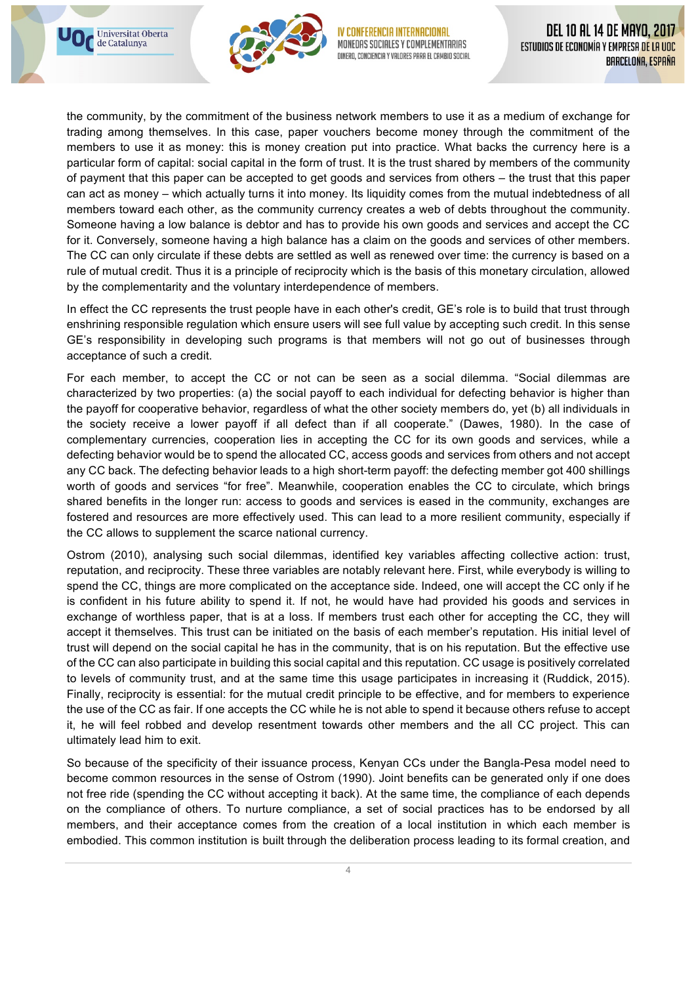



MONEDAS SOCIALES Y COMPLEMENTARIAS Y VALORES PARA EL CAMBIO SOCIAL

the community, by the commitment of the business network members to use it as a medium of exchange for trading among themselves. In this case, paper vouchers become money through the commitment of the members to use it as money: this is money creation put into practice. What backs the currency here is a particular form of capital: social capital in the form of trust. It is the trust shared by members of the community of payment that this paper can be accepted to get goods and services from others – the trust that this paper can act as money – which actually turns it into money. Its liquidity comes from the mutual indebtedness of all members toward each other, as the community currency creates a web of debts throughout the community. Someone having a low balance is debtor and has to provide his own goods and services and accept the CC for it. Conversely, someone having a high balance has a claim on the goods and services of other members. The CC can only circulate if these debts are settled as well as renewed over time: the currency is based on a rule of mutual credit. Thus it is a principle of reciprocity which is the basis of this monetary circulation, allowed by the complementarity and the voluntary interdependence of members.

In effect the CC represents the trust people have in each other's credit, GE's role is to build that trust through enshrining responsible regulation which ensure users will see full value by accepting such credit. In this sense GE's responsibility in developing such programs is that members will not go out of businesses through acceptance of such a credit.

For each member, to accept the CC or not can be seen as a social dilemma. "Social dilemmas are characterized by two properties: (a) the social payoff to each individual for defecting behavior is higher than the payoff for cooperative behavior, regardless of what the other society members do, yet (b) all individuals in the society receive a lower payoff if all defect than if all cooperate." (Dawes, 1980). In the case of complementary currencies, cooperation lies in accepting the CC for its own goods and services, while a defecting behavior would be to spend the allocated CC, access goods and services from others and not accept any CC back. The defecting behavior leads to a high short-term payoff: the defecting member got 400 shillings worth of goods and services "for free". Meanwhile, cooperation enables the CC to circulate, which brings shared benefits in the longer run: access to goods and services is eased in the community, exchanges are fostered and resources are more effectively used. This can lead to a more resilient community, especially if the CC allows to supplement the scarce national currency.

Ostrom (2010), analysing such social dilemmas, identified key variables affecting collective action: trust, reputation, and reciprocity. These three variables are notably relevant here. First, while everybody is willing to spend the CC, things are more complicated on the acceptance side. Indeed, one will accept the CC only if he is confident in his future ability to spend it. If not, he would have had provided his goods and services in exchange of worthless paper, that is at a loss. If members trust each other for accepting the CC, they will accept it themselves. This trust can be initiated on the basis of each member's reputation. His initial level of trust will depend on the social capital he has in the community, that is on his reputation. But the effective use of the CC can also participate in building this social capital and this reputation. CC usage is positively correlated to levels of community trust, and at the same time this usage participates in increasing it (Ruddick, 2015). Finally, reciprocity is essential: for the mutual credit principle to be effective, and for members to experience the use of the CC as fair. If one accepts the CC while he is not able to spend it because others refuse to accept it, he will feel robbed and develop resentment towards other members and the all CC project. This can ultimately lead him to exit.

So because of the specificity of their issuance process, Kenyan CCs under the Bangla-Pesa model need to become common resources in the sense of Ostrom (1990). Joint benefits can be generated only if one does not free ride (spending the CC without accepting it back). At the same time, the compliance of each depends on the compliance of others. To nurture compliance, a set of social practices has to be endorsed by all members, and their acceptance comes from the creation of a local institution in which each member is embodied. This common institution is built through the deliberation process leading to its formal creation, and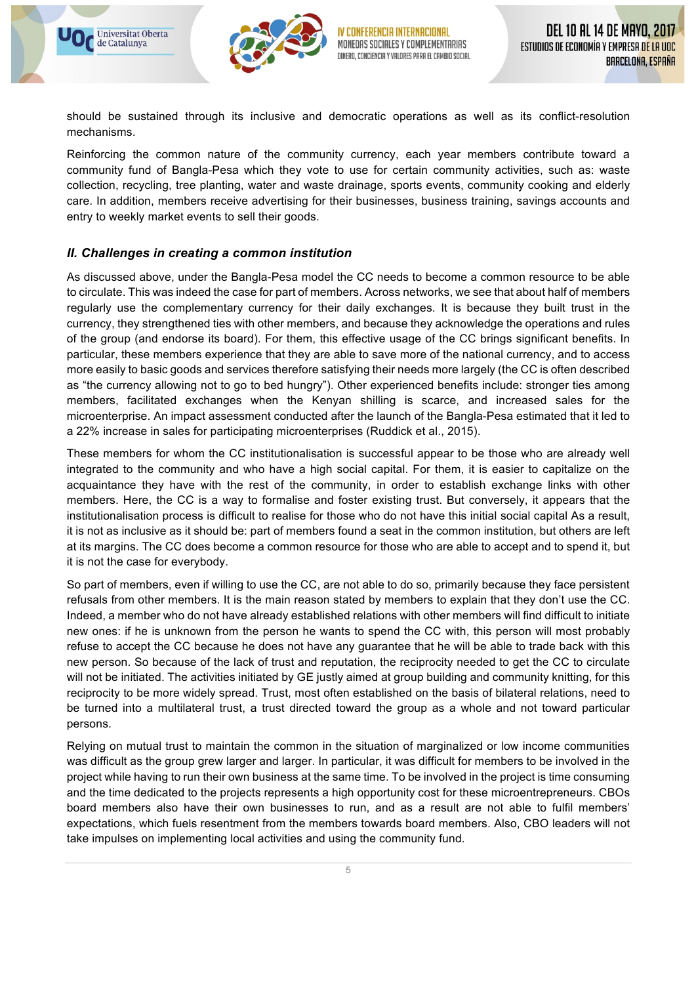



MONEDAS SOCIALES Y COMPLEMENTARIAS DINERO, CONCIENCIA Y VALORES PARA EL CAMBIO SOCIAL

should be sustained through its inclusive and democratic operations as well as its conflict-resolution mechanisms.

Reinforcing the common nature of the community currency, each year members contribute toward a community fund of Bangla-Pesa which they vote to use for certain community activities, such as: waste collection, recycling, tree planting, water and waste drainage, sports events, community cooking and elderly care. In addition, members receive advertising for their businesses, business training, savings accounts and entry to weekly market events to sell their goods.

## *II. Challenges in creating a common institution*

As discussed above, under the Bangla-Pesa model the CC needs to become a common resource to be able to circulate. This was indeed the case for part of members. Across networks, we see that about half of members regularly use the complementary currency for their daily exchanges. It is because they built trust in the currency, they strengthened ties with other members, and because they acknowledge the operations and rules of the group (and endorse its board). For them, this effective usage of the CC brings significant benefits. In particular, these members experience that they are able to save more of the national currency, and to access more easily to basic goods and services therefore satisfying their needs more largely (the CC is often described as "the currency allowing not to go to bed hungry"). Other experienced benefits include: stronger ties among members, facilitated exchanges when the Kenyan shilling is scarce, and increased sales for the microenterprise. An impact assessment conducted after the launch of the Bangla-Pesa estimated that it led to a 22% increase in sales for participating microenterprises (Ruddick et al., 2015).

These members for whom the CC institutionalisation is successful appear to be those who are already well integrated to the community and who have a high social capital. For them, it is easier to capitalize on the acquaintance they have with the rest of the community, in order to establish exchange links with other members. Here, the CC is a way to formalise and foster existing trust. But conversely, it appears that the institutionalisation process is difficult to realise for those who do not have this initial social capital As a result, it is not as inclusive as it should be: part of members found a seat in the common institution, but others are left at its margins. The CC does become a common resource for those who are able to accept and to spend it, but it is not the case for everybody.

So part of members, even if willing to use the CC, are not able to do so, primarily because they face persistent refusals from other members. It is the main reason stated by members to explain that they don't use the CC. Indeed, a member who do not have already established relations with other members will find difficult to initiate new ones: if he is unknown from the person he wants to spend the CC with, this person will most probably refuse to accept the CC because he does not have any guarantee that he will be able to trade back with this new person. So because of the lack of trust and reputation, the reciprocity needed to get the CC to circulate will not be initiated. The activities initiated by GE justly aimed at group building and community knitting, for this reciprocity to be more widely spread. Trust, most often established on the basis of bilateral relations, need to be turned into a multilateral trust, a trust directed toward the group as a whole and not toward particular persons.

Relying on mutual trust to maintain the common in the situation of marginalized or low income communities was difficult as the group grew larger and larger. In particular, it was difficult for members to be involved in the project while having to run their own business at the same time. To be involved in the project is time consuming and the time dedicated to the projects represents a high opportunity cost for these microentrepreneurs. CBOs board members also have their own businesses to run, and as a result are not able to fulfil members' expectations, which fuels resentment from the members towards board members. Also, CBO leaders will not take impulses on implementing local activities and using the community fund.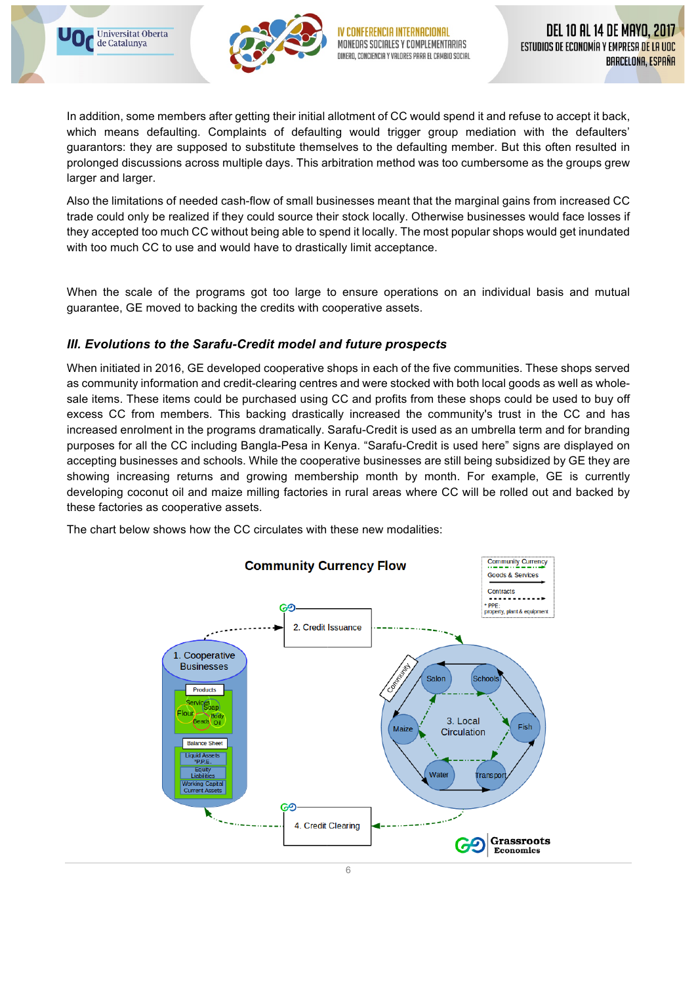



In addition, some members after getting their initial allotment of CC would spend it and refuse to accept it back, which means defaulting. Complaints of defaulting would trigger group mediation with the defaulters' guarantors: they are supposed to substitute themselves to the defaulting member. But this often resulted in prolonged discussions across multiple days. This arbitration method was too cumbersome as the groups grew larger and larger.

Also the limitations of needed cash-flow of small businesses meant that the marginal gains from increased CC trade could only be realized if they could source their stock locally. Otherwise businesses would face losses if they accepted too much CC without being able to spend it locally. The most popular shops would get inundated with too much CC to use and would have to drastically limit acceptance.

When the scale of the programs got too large to ensure operations on an individual basis and mutual guarantee, GE moved to backing the credits with cooperative assets.

# *III. Evolutions to the Sarafu-Credit model and future prospects*

When initiated in 2016, GE developed cooperative shops in each of the five communities. These shops served as community information and credit-clearing centres and were stocked with both local goods as well as wholesale items. These items could be purchased using CC and profits from these shops could be used to buy off excess CC from members. This backing drastically increased the community's trust in the CC and has increased enrolment in the programs dramatically. Sarafu-Credit is used as an umbrella term and for branding purposes for all the CC including Bangla-Pesa in Kenya. "Sarafu-Credit is used here" signs are displayed on accepting businesses and schools. While the cooperative businesses are still being subsidized by GE they are showing increasing returns and growing membership month by month. For example, GE is currently developing coconut oil and maize milling factories in rural areas where CC will be rolled out and backed by these factories as cooperative assets.

The chart below shows how the CC circulates with these new modalities:

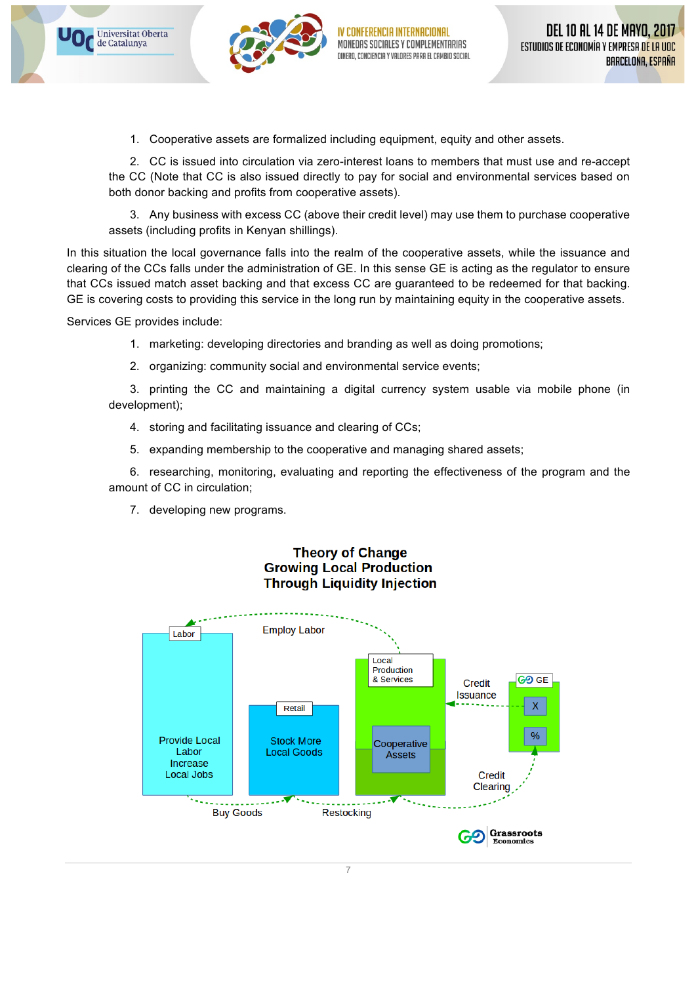



1. Cooperative assets are formalized including equipment, equity and other assets.

2. CC is issued into circulation via zero-interest loans to members that must use and re-accept the CC (Note that CC is also issued directly to pay for social and environmental services based on both donor backing and profits from cooperative assets).

3. Any business with excess CC (above their credit level) may use them to purchase cooperative assets (including profits in Kenyan shillings).

In this situation the local governance falls into the realm of the cooperative assets, while the issuance and clearing of the CCs falls under the administration of GE. In this sense GE is acting as the regulator to ensure that CCs issued match asset backing and that excess CC are guaranteed to be redeemed for that backing. GE is covering costs to providing this service in the long run by maintaining equity in the cooperative assets.

Services GE provides include:

- 1. marketing: developing directories and branding as well as doing promotions;
- 2. organizing: community social and environmental service events;

3. printing the CC and maintaining a digital currency system usable via mobile phone (in development);

- 4. storing and facilitating issuance and clearing of CCs;
- 5. expanding membership to the cooperative and managing shared assets;

6. researching, monitoring, evaluating and reporting the effectiveness of the program and the amount of CC in circulation;

7. developing new programs.



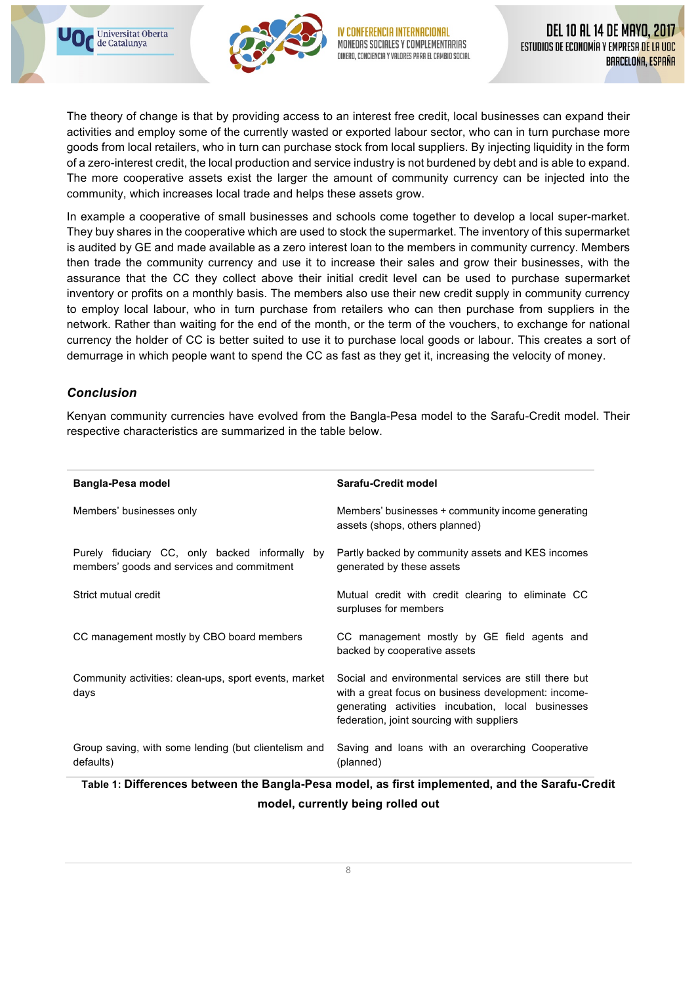



MONFORS SOCIALES Y COMPLEMENTARIAS VALORES PARA EL CAMBIO SOCIAL

The theory of change is that by providing access to an interest free credit, local businesses can expand their activities and employ some of the currently wasted or exported labour sector, who can in turn purchase more goods from local retailers, who in turn can purchase stock from local suppliers. By injecting liquidity in the form of a zero-interest credit, the local production and service industry is not burdened by debt and is able to expand. The more cooperative assets exist the larger the amount of community currency can be injected into the community, which increases local trade and helps these assets grow.

In example a cooperative of small businesses and schools come together to develop a local super-market. They buy shares in the cooperative which are used to stock the supermarket. The inventory of this supermarket is audited by GE and made available as a zero interest loan to the members in community currency. Members then trade the community currency and use it to increase their sales and grow their businesses, with the assurance that the CC they collect above their initial credit level can be used to purchase supermarket inventory or profits on a monthly basis. The members also use their new credit supply in community currency to employ local labour, who in turn purchase from retailers who can then purchase from suppliers in the network. Rather than waiting for the end of the month, or the term of the vouchers, to exchange for national currency the holder of CC is better suited to use it to purchase local goods or labour. This creates a sort of demurrage in which people want to spend the CC as fast as they get it, increasing the velocity of money.

## *Conclusion*

Kenyan community currencies have evolved from the Bangla-Pesa model to the Sarafu-Credit model. Their respective characteristics are summarized in the table below.

| Bangla-Pesa model                                                                            | Sarafu-Credit model                                                                                                                                                                                             |
|----------------------------------------------------------------------------------------------|-----------------------------------------------------------------------------------------------------------------------------------------------------------------------------------------------------------------|
| Members' businesses only                                                                     | Members' businesses + community income generating<br>assets (shops, others planned)                                                                                                                             |
| Purely fiduciary CC, only backed informally by<br>members' goods and services and commitment | Partly backed by community assets and KES incomes<br>generated by these assets                                                                                                                                  |
| Strict mutual credit                                                                         | Mutual credit with credit clearing to eliminate CC<br>surpluses for members                                                                                                                                     |
| CC management mostly by CBO board members                                                    | CC management mostly by GE field agents and<br>backed by cooperative assets                                                                                                                                     |
| Community activities: clean-ups, sport events, market<br>days                                | Social and environmental services are still there but<br>with a great focus on business development: income-<br>generating activities incubation, local businesses<br>federation, joint sourcing with suppliers |
| Group saving, with some lending (but clientelism and<br>defaults)                            | Saving and loans with an overarching Cooperative<br>(planned)                                                                                                                                                   |

**Table 1: Differences between the Bangla-Pesa model, as first implemented, and the Sarafu-Credit model, currently being rolled out**